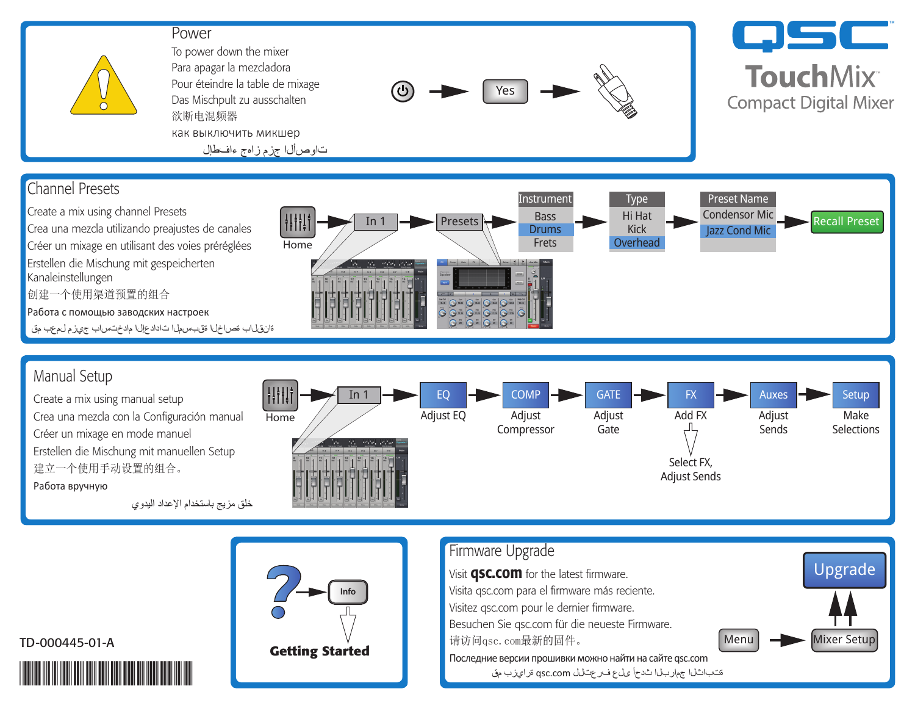## Power



To power down the mixer Para apagar la mezcladora Pour éteindre la table de mixage Das Mischpult zu ausschalten 欲断电混频器 как выключить микшер تاوصألا جزم زاهج ءافطإل



## **CJSC TouchMix® Compact Digital Mixer**







## TD-000445-01-A